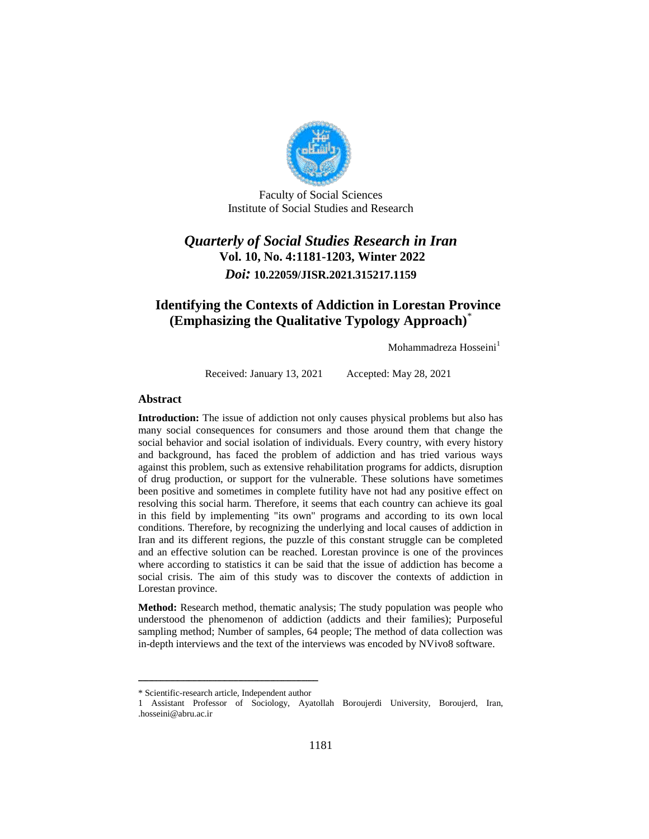

Faculty of Social Sciences Institute of Social Studies and Research

# *Quarterly of Social Studies Research in Iran* **Vol. 10, No. 4:1181-1203, Winter 2022** *Doi:* **10.22059/JISR.2021.315217.1159**

# **Identifying the Contexts of Addiction in Lorestan Province (Emphasizing the Qualitative Typology Approach)**\*

Mohammadreza Hosseini<sup>1</sup>

Received: January 13, 2021 Accepted: May 28, 2021

#### **Abstract**

**Introduction:** The issue of addiction not only causes physical problems but also has many social consequences for consumers and those around them that change the social behavior and social isolation of individuals. Every country, with every history and background, has faced the problem of addiction and has tried various ways against this problem, such as extensive rehabilitation programs for addicts, disruption of drug production, or support for the vulnerable. These solutions have sometimes been positive and sometimes in complete futility have not had any positive effect on resolving this social harm. Therefore, it seems that each country can achieve its goal in this field by implementing "its own" programs and according to its own local conditions. Therefore, by recognizing the underlying and local causes of addiction in Iran and its different regions, the puzzle of this constant struggle can be completed and an effective solution can be reached. Lorestan province is one of the provinces where according to statistics it can be said that the issue of addiction has become a social crisis. The aim of this study was to discover the contexts of addiction in Lorestan province.

**Method:** Research method, thematic analysis; The study population was people who understood the phenomenon of addiction (addicts and their families); Purposeful sampling method; Number of samples, 64 people; The method of data collection was in-depth interviews and the text of the interviews was encoded by NVivo8 software.

ــــــــــــــــــــــــــــــــــــــــــــــــــــــــــــــــــــــــــــــــــــــــــــــــــــــــــــــــــــــــــــــــــــــــــــــــ \* Scientific-research article, Independent author

<sup>1</sup> Assistant Professor of Sociology, Ayatollah Boroujerdi University, Boroujerd, Iran, .hosseini@abru.ac.ir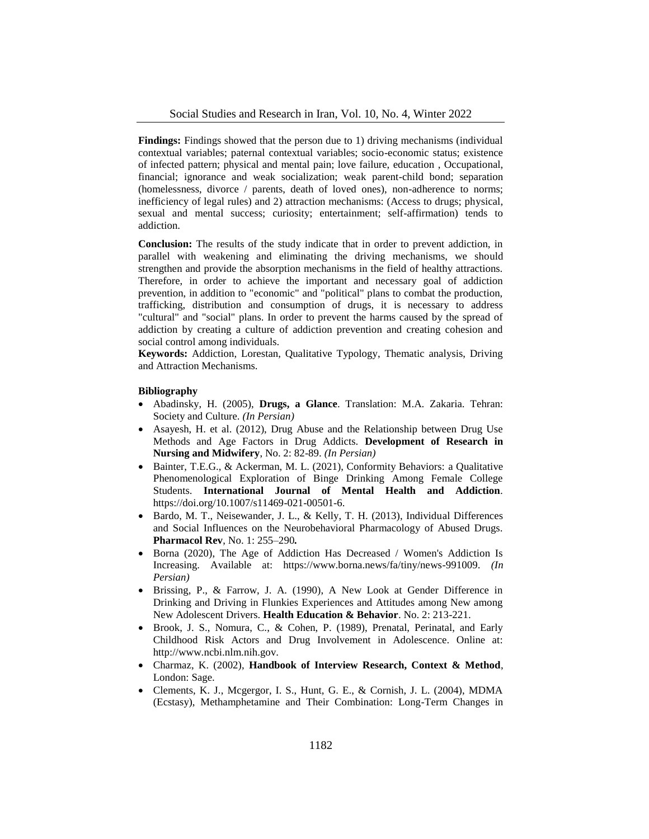**Findings:** Findings showed that the person due to 1) driving mechanisms (individual contextual variables; paternal contextual variables; socio-economic status; existence of infected pattern; physical and mental pain; love failure, education , Occupational, financial; ignorance and weak socialization; weak parent-child bond; separation (homelessness, divorce / parents, death of loved ones), non-adherence to norms; inefficiency of legal rules) and 2) attraction mechanisms: (Access to drugs; physical, sexual and mental success; curiosity; entertainment; self-affirmation) tends to addiction.

**Conclusion:** The results of the study indicate that in order to prevent addiction, in parallel with weakening and eliminating the driving mechanisms, we should strengthen and provide the absorption mechanisms in the field of healthy attractions. Therefore, in order to achieve the important and necessary goal of addiction prevention, in addition to "economic" and "political" plans to combat the production, trafficking, distribution and consumption of drugs, it is necessary to address "cultural" and "social" plans. In order to prevent the harms caused by the spread of addiction by creating a culture of addiction prevention and creating cohesion and social control among individuals.

**Keywords:** Addiction, Lorestan, Qualitative Typology, Thematic analysis, Driving and Attraction Mechanisms.

#### **Bibliography**

- Abadinsky, H. (2005), **Drugs, a Glance**. Translation: M.A. Zakaria. Tehran: Society and Culture. *(In Persian)*
- Asayesh, H. et al. (2012), Drug Abuse and the Relationship between Drug Use Methods and Age Factors in Drug Addicts. **Development of Research in Nursing and Midwifery**, No. 2: 82-89. *(In Persian)*
- Bainter, T.E.G., & Ackerman, M. L. (2021), Conformity Behaviors: a Qualitative Phenomenological Exploration of Binge Drinking Among Female College Students. **International Journal of Mental Health and Addiction***.* https://doi.org/10.1007/s11469-021-00501-6.
- Bardo, M. T., Neisewander, J. L., & Kelly, T. H. (2013), Individual Differences and Social Influences on the Neurobehavioral Pharmacology of Abused Drugs. **Pharmacol Rev**, No. 1: 255–290*.*
- Borna (2020), The Age of Addiction Has Decreased / Women's Addiction Is Increasing. Available at: https://www.borna.news/fa/tiny/news-991009. *(In Persian)*
- Brissing, P., & Farrow, J. A. (1990), A New Look at Gender Difference in Drinking and Driving in Flunkies Experiences and Attitudes among New among New Adolescent Drivers. **Health Education & Behavior**. No. 2: 213-221.
- Brook, J. S., Nomura, C., & Cohen, P. (1989), Prenatal, Perinatal, and Early Childhood Risk Actors and Drug Involvement in Adolescence. Online at: http://www.ncbi.nlm.nih.gov.
- Charmaz, K. (2002), **Handbook of Interview Research, Context & Method**, London: Sage.
- Clements, K. J., Mcgergor, I. S., Hunt, G. E., & Cornish, J. L. (2004), MDMA (Ecstasy), Methamphetamine and Their Combination: Long-Term Changes in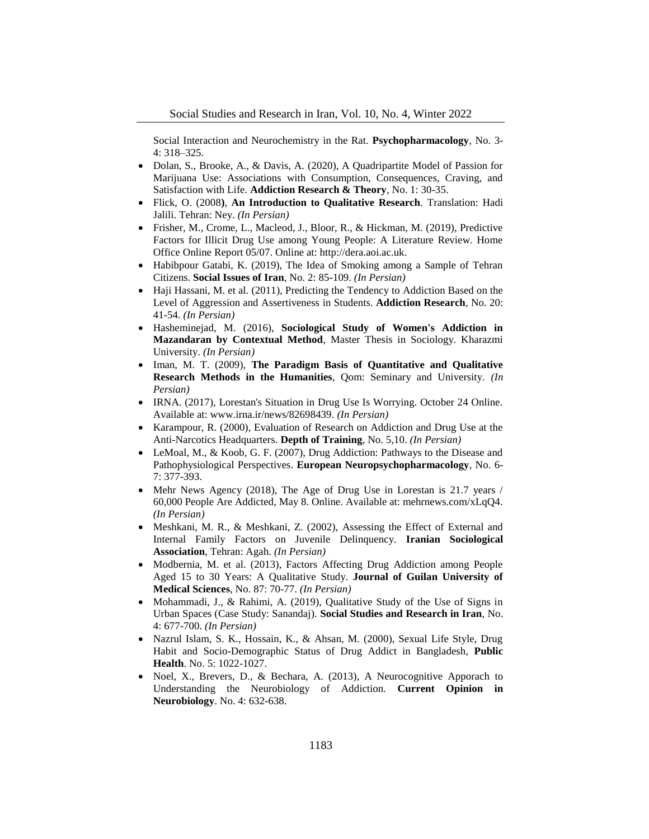Social Interaction and Neurochemistry in the Rat. **Psychopharmacology**, No. 3- 4: 318–325.

- Dolan, S., Brooke, A., & Davis, A. (2020), A Quadripartite Model of Passion for Marijuana Use: Associations with Consumption, Consequences, Craving, and Satisfaction with Life. **Addiction Research & Theory**, No. 1: 30-35.
- Flick, O. (2008**)**, **An Introduction to Qualitative Research**. Translation: Hadi Jalili. Tehran: Ney. *(In Persian)*
- Frisher, M., Crome, L., Macleod, J., Bloor, R., & Hickman, M. (2019), Predictive Factors for Illicit Drug Use among Young People: A Literature Review. Home Office Online Report 05/07. Online at: http://dera.aoi.ac.uk.
- Habibpour Gatabi, K. (2019), The Idea of Smoking among a Sample of Tehran Citizens. **Social Issues of Iran**, No. 2: 85-109. *(In Persian)*
- Haji Hassani, M. et al. (2011), Predicting the Tendency to Addiction Based on the Level of Aggression and Assertiveness in Students. **Addiction Research**, No. 20: 41-54. *(In Persian)*
- Hasheminejad, M. (2016), **Sociological Study of Women's Addiction in Mazandaran by Contextual Method**, Master Thesis in Sociology. Kharazmi University. *(In Persian)*
- Iman, M. T. (2009), **The Paradigm Basis of Quantitative and Qualitative Research Methods in the Humanities**, Qom: Seminary and University. *(In Persian)*
- IRNA. (2017), Lorestan's Situation in Drug Use Is Worrying. October 24 Online. Available at: www.irna.ir/news/82698439. *(In Persian)*
- Karampour, R. (2000), Evaluation of Research on Addiction and Drug Use at the Anti-Narcotics Headquarters. **Depth of Training**, No. 5,10. *(In Persian)*
- LeMoal, M., & Koob, G. F. (2007), Drug Addiction: Pathways to the Disease and Pathophysiological Perspectives. **European Neuropsychopharmacology**, No. 6- 7: 377-393.
- Mehr News Agency (2018), The Age of Drug Use in Lorestan is 21.7 years / 60,000 People Are Addicted, May 8. Online. Available at: mehrnews.com/xLqQ4. *(In Persian)*
- Meshkani, M. R., & Meshkani, Z. (2002), Assessing the Effect of External and Internal Family Factors on Juvenile Delinquency. **Iranian Sociological Association**, Tehran: Agah. *(In Persian)*
- Modbernia, M. et al. (2013), Factors Affecting Drug Addiction among People Aged 15 to 30 Years: A Qualitative Study. **Journal of Guilan University of Medical Sciences**, No. 87: 70-77. *(In Persian)*
- Mohammadi, J., & Rahimi, A. (2019), Qualitative Study of the Use of Signs in Urban Spaces (Case Study: Sanandaj). **Social Studies and Research in Iran**, No. 4: 677-700. *(In Persian)*
- Nazrul Islam, S. K., Hossain, K., & Ahsan, M. (2000), Sexual Life Style, Drug Habit and Socio-Demographic Status of Drug Addict in Bangladesh, **Public Health**. No. 5: 1022-1027.
- Noel, X., Brevers, D., & Bechara, A. (2013), A Neurocognitive Apporach to Understanding the Neurobiology of Addiction. **Current Opinion in Neurobiology**. No. 4: 632-638.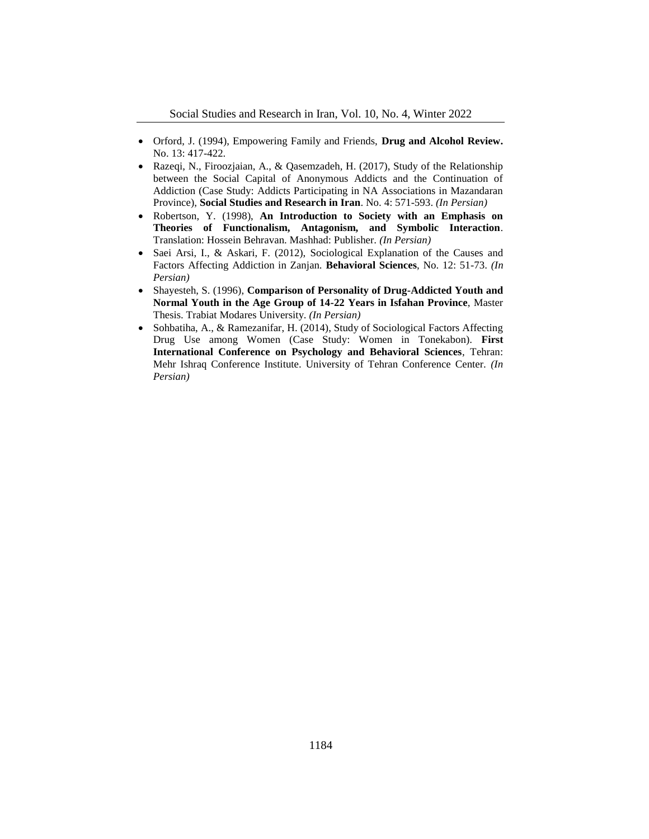- Orford, J. (1994), Empowering Family and Friends, **Drug and Alcohol Review.**  No. 13: 417-422.
- Razeqi, N., Firoozjaian, A., & Qasemzadeh, H. (2017), Study of the Relationship between the Social Capital of Anonymous Addicts and the Continuation of Addiction (Case Study: Addicts Participating in NA Associations in Mazandaran Province), **Social Studies and Research in Iran**. No. 4: 571-593. *(In Persian)*
- Robertson, Y. (1998), **An Introduction to Society with an Emphasis on Theories of Functionalism, Antagonism, and Symbolic Interaction**. Translation: Hossein Behravan. Mashhad: Publisher. *(In Persian)*
- Saei Arsi, I., & Askari, F. (2012), Sociological Explanation of the Causes and Factors Affecting Addiction in Zanjan. **Behavioral Sciences**, No. 12: 51-73. *(In Persian)*
- Shayesteh, S. (1996), **Comparison of Personality of Drug-Addicted Youth and Normal Youth in the Age Group of 14-22 Years in Isfahan Province**, Master Thesis. Trabiat Modares University. *(In Persian)*
- Sohbatiha, A., & Ramezanifar, H. (2014), Study of Sociological Factors Affecting Drug Use among Women (Case Study: Women in Tonekabon). **First International Conference on Psychology and Behavioral Sciences**, Tehran: Mehr Ishraq Conference Institute. University of Tehran Conference Center. *(In Persian)*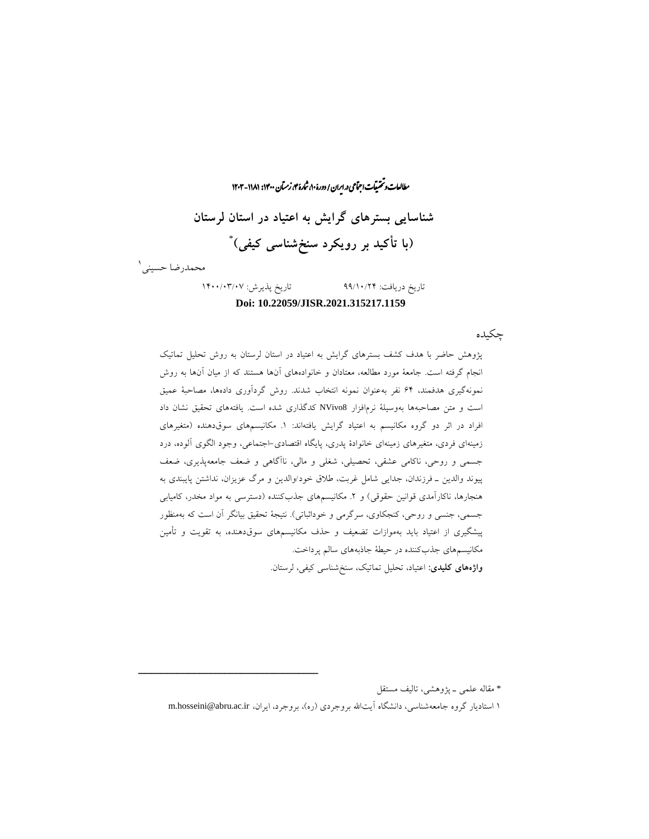راان و تحقیقات اجتماعی در ایران / دورهٔ ۱۰، ثنارهٔ ۴، زمتان ۱۴۰۰: ۱۸۱۱-۱۲۰۳ ما ش **شناسایی بسترهای گرایش به اعتیاد در استان لرستان** *\** **)با تأکید بر رویکرد سنخشناسی کیفی(**

**1** محمدرضا حسینی

## تاریخ دریافت: 99/10/24 تاریخ پذیرش: 1400/03/07 **Doi: 10.22059/JISR.2021.315217.1159**

چکیده

پژوهش حاضر با هدف کشف بسترهای گرایش به اعتیاد در استان لرستان به روش تحلیل تماتیک انجام گرفته است. جامعۀ مورد مطالعه، معتادان و خانوادههای آنها هستند که از میان آنها به روش نمونهگیری هدفمند، 64 نفر بهعنوان نمونه انتخاب شدند. روش گردآوری دادهها، مصاحبۀ عمیق است و متن مصاحبهها بهوسیلۀ نرمافزار 8NVivo کدگذاری شده است. یافتههای تحقیق نشان داد افراد در اثر دو گروه مکانیسم به اعتیاد گرایش یافتهاند: .1 مکانیسمهای سوقدهنده )متغیرهای زمینهای فردی، متغیرهای زمینهای خانوادۀ پدری، پایگاه اقتصادی-اجتماعی، وجود الگوی آلوده، درد جسمی و روحی، ناکامی عشقی، تحصیلی، شغلی و مالی، ناآگاهی و ضعف جامعهپذیری، ضعف پیوند والدین ـ فرزندان، جدایی شامل غربت، طالق خود/والدین و مرگ عزیزان، نداشتن پایبندی به هنجارها، ناکارآمدی قوانین حقوقی) و ۲. مکانیسمهای جذبکننده (دسترسی به مواد مخدر، کامیابی جسمی، جنسی و روحی، کنجکاوی، سرگرمی و خوداثباتی(. نتیجۀ تحقیق بیانگر آن است که بهمنظور پیشگیری از اعتیاد باید بهموازات تضعیف و حذف مکانیسمهای سوقدهنده، به تقویت و تأمین مکانیسمهای جذبکننده در حیطۀ جاذبههای سالم پرداخت. **واژههای کلیدی:** اعتیاد، تحلیل تماتیک، سنخشناسی کیفی، لرستان.

\* مقاله علمی ـ پژوهشی، تالیف مستقل

ــــــــــــــــــــــــــــــــــــــــــــــــــــــــــــــــــــــــــــــــــــــــــــــــــــــــــــــــــــــــــــــــــــــــــــــــ

<sup>1</sup> استادیار گروه جامعهشناسی، دانشگاه آیتاهلل بروجردی )ره(، بروجرد، ایران، ir.ac.abru@hosseini.m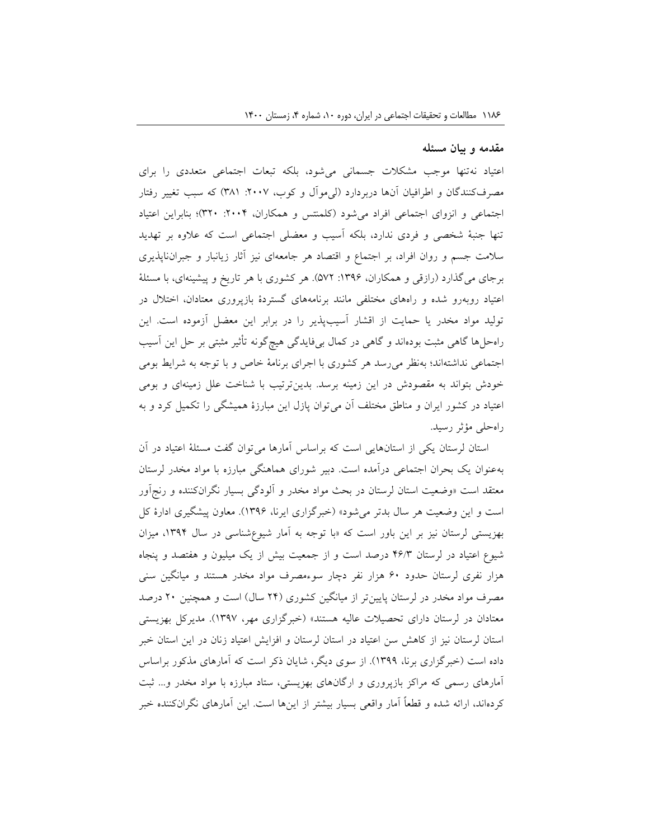### **مقدمه و بیان مسئله**

اعتیاد نهتنها موجب مشکالت جسمانی میشود، بلکه تبعات اجتماعی متعددی را برای مصرفکنندگان و اطرافیان آنها دربردارد )لیموآل و کوب، :2007 381( که سبب تغییر رفتار اجتماعی و انزوای اجتماعی افراد میشود )کلمنتس و همکاران، :2004 320(؛ بنابراین اعتیاد تنها جنبۀ شخصی و فردی ندارد، بلکه آسیب و معضلی اجتماعی است که عالوه بر تهدید سالمت جسم و روان افراد، بر اجتماع و اقتصاد هر جامعهای نیز آثار زیانبار و جبرانناپذیری برجای میگذارد (رازقی و همکاران، ۱۳۹۶: ۵۷۲). هر کشوری با هر تاریخ و پیشینهای، با مسئلۀ اعتیاد روبهرو شده و راههای مختلفی مانند برنامههای گستردۀ بازپروری معتادان، اختالل در تولید مواد مخدر یا حمایت از اقشار آسیبپذیر را در برابر این معضل آزموده است. این راهحلها گاهی مثبت بودهاند و گاهی در کمال بیفایدگی هیچگونه تأثیر مثبتی بر حل این آسیب اجتماعی نداشتهاند؛ بهنظر میرسد هر کشوری با اجرای برنامۀ خاص و با توجه به شرایط بومی خودش بتواند به مقصودش در این زمینه برسد. بدینترتیب با شناخت علل زمینهای و بومی اعتیاد در کشور ایران و مناطق مختلف آن میتوان پازل این مبارزۀ همیشگی را تکمیل کرد و به راهحلی مؤثر رسید.

استان لرستان یکی از استانهایی است که براساس آمارها میتوان گفت مسئلۀ اعتیاد در آن بهعنوان یک بحران اجتماعی درآمده است. دبیر شورای هماهنگی مبارزه با مواد مخدر لرستان معتقد است »وضعیت استان لرستان در بحث مواد مخدر و آلودگی بسیار نگرانکننده و رنجآور است و این وضعیت هر سال بدتر میشود« )خبرگزاری ایرنا، 1396(. معاون پیشگیری ادارۀ کل بهزیستی لرستان نیز بر این باور است که »با توجه به آمار شیوعشناسی در سال ،1394 میزان شیوع اعتیاد در لرستان 46/3 درصد است و از جمعیت بیش از یک میلیون و هفتصد و پنجاه هزار نفری لرستان حدود 60 هزار نفر دچار سوءمصرف مواد مخدر هستند و میانگین سنی مصرف مواد مخدر در لرستان پایینتر از میانگین کشوری (۲۴ سال) است و همچنین ۲۰ درصد معتادان در لرستان دارای تحصیالت عالیه هستند« )خبرگزاری مهر، 1397(. مدیرکل بهزیستی استان لرستان نیز از کاهش سن اعتیاد در استان لرستان و افزایش اعتیاد زنان در این استان خبر داده است )خبرگزاری برنا، 1399(. از سوی دیگر، شایان ذکر است که آمارهای مذکور براساس آمارهای رسمی که مراکز بازپروری و ارگانهای بهزیستی، ستاد مبارزه با مواد مخدر و... ثبت کردهاند، ارائه شده و قطعاً آمار واقعی بسیار بیشتر از اینها است. این آمارهای نگرانکننده خبر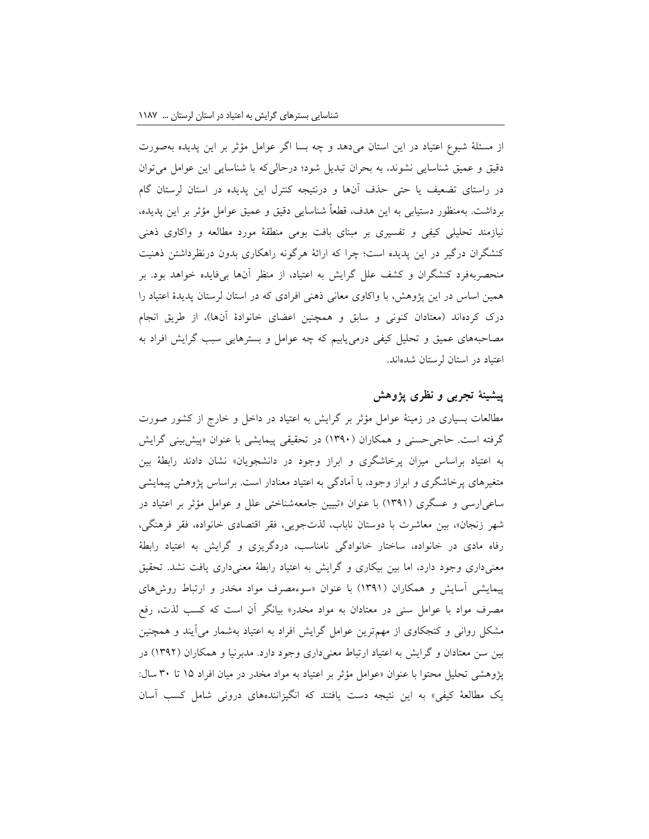از مسئلۀ شیوع اعتیاد در این استان میدهد و چه بسا اگر عوامل مؤثر بر این پدیده بهصورت دقیق و عمیق شناسایی نشوند، به بحران تبدیل شود؛ درحالیکه با شناسایی این عوامل میتوان در راستای تضعیف یا حتی حذف آنها و درنتیجه کنترل این پدیده در استان لرستان گام برداشت. بهمنظور دستیابی به این هدف، قطعاً شناسایی دقیق و عمیق عوامل مؤثر بر این پدیده، نیازمند تحلیلی کیفی و تفسیری بر مبنای بافت بومی منطقۀ مورد مطالعه و واکاوی ذهنی کنشگران درگیر در این پدیده است؛ چرا که ارائۀ هرگونه راهکاری بدون درنظرداشتن ذهنیت منحصربهفرد کنشگران و کشف علل گرایش به اعتیاد، از منظر آنها بیفایده خواهد بود. بر همین اساس در این پژوهش، با واکاوی معانی ذهنی افرادی که در استان لرستان پدیدۀ اعتیاد را درک کردهاند (معتادان کنونی و سابق و همچنین اعضای خانوادۀ آنها)، از طریق انجام مصاحبههای عمیق و تحلیل کیفی درمییابیم که چه عوامل و بسترهایی سبب گرایش افراد به اعتیاد در استان لرستان شدهاند.

## **پیشینۀ تجربی و نظری پژوهش**

مطالعات بسیاری در زمینۀ عوامل مؤثر بر گرایش به اعتیاد در داخل و خارج از کشور صورت گرفته است. حاجی حسنی و همکاران (۱۳۹۰) در تحقیقی پیمایشی با عنوان «پیشبینی گرایش به اعتیاد براساس میزان پرخاشگری و ابراز وجود در دانشجویان» نشان دادند رابطۀ بین متغیرهای پرخاشگری و ابراز وجود، با آمادگی به اعتیاد معنادار است. براساس پژوهش پیمایشی ساعیارسی و عسگری )1391( با عنوان »تبیین جامعهشناختی علل و عوامل مؤثر بر اعتیاد در شهر زنجان»، بین معاشرت با دوستان ناباب، لذتجویی، فقر اقتصادی خانواده، فقر فرهنگی، رفاه مادی در خانواده، ساختار خانوادگی نامناسب، دردگریزی و گرایش به اعتیاد رابطۀ معنیداری وجود دارد، اما بین بیکاری و گرایش به اعتیاد رابطۀ معنیداری یافت نشد. تحقیق پیمایشی آسایش و همکاران )1391( با عنوان »سوءمصرف مواد مخدر و ارتباط روشهای مصرف مواد با عوامل سنی در معتادان به مواد مخدر« بیانگر آن است که کسب لذت، رفع مشکل روانی و کنجکاوی از مهمترین عوامل گرایش افراد به اعتیاد بهشمار میآیند و همچنین بین سن معتادان و گرایش به اعتیاد ارتباط معنیداری وجود دارد. مدبرنیا و همکاران )1392( در پژوهشی تحلیل محتوا با عنوان »عوامل مؤثر بر اعتیاد به مواد مخدر در میان افراد 15 تا 30 سال: یک مطالعۀ کیفی» به این نتیجه دست یافتند که انگیزانندههای درونی شامل کسب آسان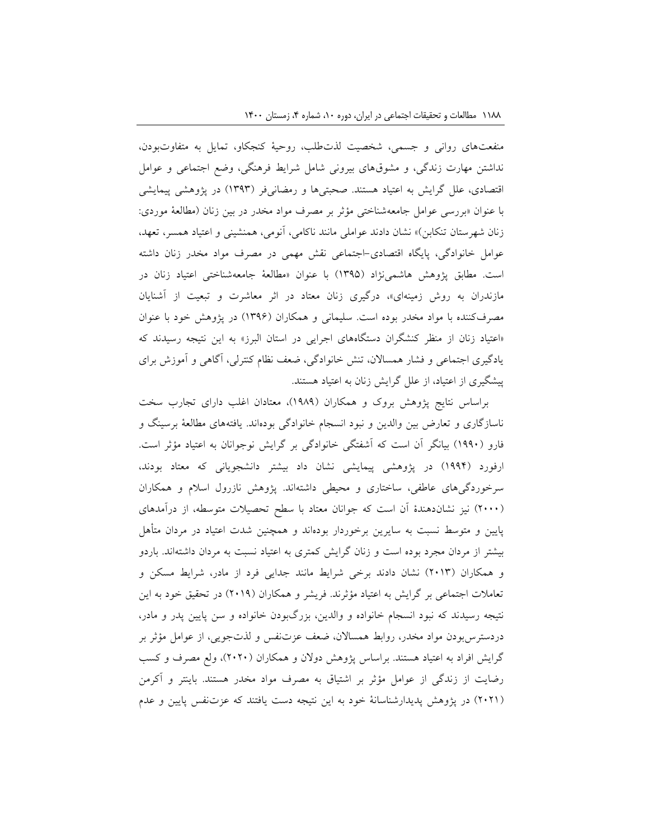منفعتهای روانی و جسمی، شخصیت لذتطلب، روحیۀ کنجکاو، تمایل به متفاوتبودن، نداشتن مهارت زندگی، و مشوقهای بیرونی شامل شرایط فرهنگی، وضع اجتماعی و عوامل اقتصادی، علل گرایش به اعتیاد هستند. صحبتیها و رمضانیفر )1393( در پژوهشی پیمایشی با عنوان »بررسی عوامل جامعهشناختی مؤثر بر مصرف مواد مخدر در بین زنان )مطالعۀ موردی: زنان شهرستان تنکابن)» نشان دادند عواملی مانند ناکامی، آنومی، همنشینی و اعتیاد همسر، تعهد، عوامل خانوادگی، پایگاه اقتصادی-اجتماعی نقش مهمی در مصرف مواد مخدر زنان داشته است. مطابق پژوهش هاشمینژاد )1395( با عنوان »مطالعۀ جامعهشناختی اعتیاد زنان در مازندران به روش زمینهای»، درگیری زنان معتاد در اثر معاشرت و تبعیت از آشنایان مصرفکننده با مواد مخدر بوده است. سلیمانی و همکاران )1396( در پژوهش خود با عنوان »اعتیاد زنان از منظر کنشگران دستگاههای اجرایی در استان البرز« به این نتیجه رسیدند که یادگیری اجتماعی و فشار همساالن، تنش خانوادگی، ضعف نظام کنترلی، آگاهی و آموزش برای پیشگیری از اعتیاد، از علل گرایش زنان به اعتیاد هستند.

براساس نتایج پژوهش بروک و همکاران )1989(، معتادان اغلب دارای تجارب سخت ناسازگاری و تعارض بین والدین و نبود انسجام خانوادگی بودهاند. یافتههای مطالعۀ برسینگ و فارو )1990( بیانگر آن است که آشفتگی خانوادگی بر گرایش نوجوانان به اعتیاد مؤثر است. ارفورد )1994( در پژوهشی پیمایشی نشان داد بیشتر دانشجویانی که معتاد بودند، سرخوردگیهای عاطفی، ساختاری و محیطی داشتهاند. پژوهش نازرول اسالم و همکاران )2000( نیز نشاندهندۀ آن است که جوانان معتاد با سطح تحصیالت متوسطه، از درآمدهای پایین و متوسط نسبت به سایرین برخوردار بودهاند و همچنین شدت اعتیاد در مردان متأهل بیشتر از مردان مجرد بوده است و زنان گرایش کمتری به اعتیاد نسبت به مردان داشتهاند. باردو و همکاران (۲۰۱۳) نشان دادند برخی شرایط مانند جدایی فرد از مادر، شرایط مسکن و تعامالت اجتماعی بر گرایش به اعتیاد مؤثرند. فریشر و همکاران )2019( در تحقیق خود به این نتیجه رسیدند که نبود انسجام خانواده و والدین، بزرگبودن خانواده و سن پایین پدر و مادر، دردسترسبودن مواد مخدر، روابط همساالن، ضعف عزتنفس و لذتجویی، از عوامل مؤثر بر گرایش افراد به اعتیاد هستند. براساس پژوهش دولان و همکاران (۲۰۲۰)، ولع مصرف و کسب رضایت از زندگی از عوامل مؤثر بر اشتیاق به مصرف مواد مخدر هستند. باینتر و آکرمن )2021( در پژوهش پدیدارشناسانۀ خود به این نتیجه دست یافتند که عزتنفس پایین و عدم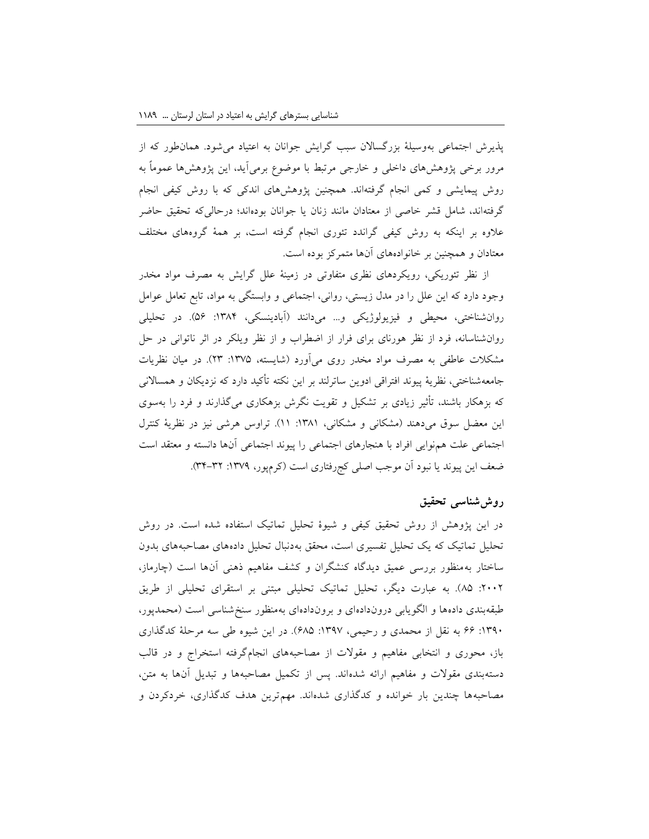پذیرش اجتماعی بهوسیلۀ بزرگساالن سبب گرایش جوانان به اعتیاد میشود. همانطور که از مرور برخی پژوهشهای داخلی و خارجی مرتبط با موضوع برمیآید، این پژوهشها عموماً به روش پیمایشی و کمی انجام گرفتهاند. همچنین پژوهشهای اندکی که با روش کیفی انجام گرفتهاند، شامل قشر خاصی از معتادان مانند زنان یا جوانان بودهاند؛ درحالیکه تحقیق حاضر عالوه بر اینکه به روش کیفی گراندد تئوری انجام گرفته است، بر همۀ گروههای مختلف معتادان و همچنین بر خانوادههای آنها متمرکز بوده است.

از نظر تئوریکی، رویکردهای نظری متفاوتی در زمینۀ علل گرایش به مصرف مواد مخدر وجود دارد که این علل را در مدل زیستی، روانی، اجتماعی و وابستگی به مواد، تابع تعامل عوامل روان شناختی، محیطی و فیزیولوژیکی و... میدانند (آبادینسکی، ۱۳۸۴: ۵۶). در تحلیلی روانشناسانه، فرد از نظر هورنای برای فرار از اضطراب و از نظر ویلکر در اثر ناتوانی در حل مشکلات عاطفی به مصرف مواد مخدر روی میآورد (شایسته، ۱۳۷۵: ۲۳). در میان نظریات جامعهشناختی، نظریۀ پیوند افتراقی ادوین ساترلند بر این نکته تأکید دارد که نزدیکان و همساالنی که بزهکار باشند، تأثیر زیادی بر تشکیل و تقویت نگرش بزهکاری میگذارند و فرد را بهسوی این معضل سوق میدهند )مشکانی و مشکانی، :1381 11(. تراوس هرشی نیز در نظریۀ کنترل اجتماعی علت همنوایی افراد با هنجارهای اجتماعی را پیوند اجتماعی آنها دانسته و معتقد است ضعف این پیوند یا نبود آن موجب اصلی کجرفتاری است (کرمٖپور، ١٣٧٩: ٣٢-٣۴).

# **روششناسی تحقیق**

در این پژوهش از روش تحقیق کیفی و شیوۀ تحلیل تماتیک استفاده شده است. در روش تحلیل تماتیک که یک تحلیل تفسیری است، محقق بهدنبال تحلیل دادههای مصاحبههای بدون ساختار بهمنظور بررسی عمیق دیدگاه کنشگران و کشف مفاهیم ذهنی آنها است )چارماز، :2002 85(. به عبارت دیگر، تحلیل تماتیک تحلیلی مبتنی بر استقرای تحلیلی از طریق طبقهبندی دادهها و الگویابی دروندادهای و بروندادهای بهمنظور سنخشناسی است )محمدپور، :1390 66 به نقل از محمدی و رحیمی، :1397 685(. در این شیوه طی سه مرحلۀ کدگذاری باز، محوری و انتخابی مفاهیم و مقوالت از مصاحبههای انجامگرفته استخراج و در قالب دستهبندی مقوالت و مفاهیم ارائه شدهاند. پس از تکمیل مصاحبهها و تبدیل آنها به متن، مصاحبهها چندین بار خوانده و کدگذاری شدهاند. مهمترین هدف کدگذاری، خردکردن و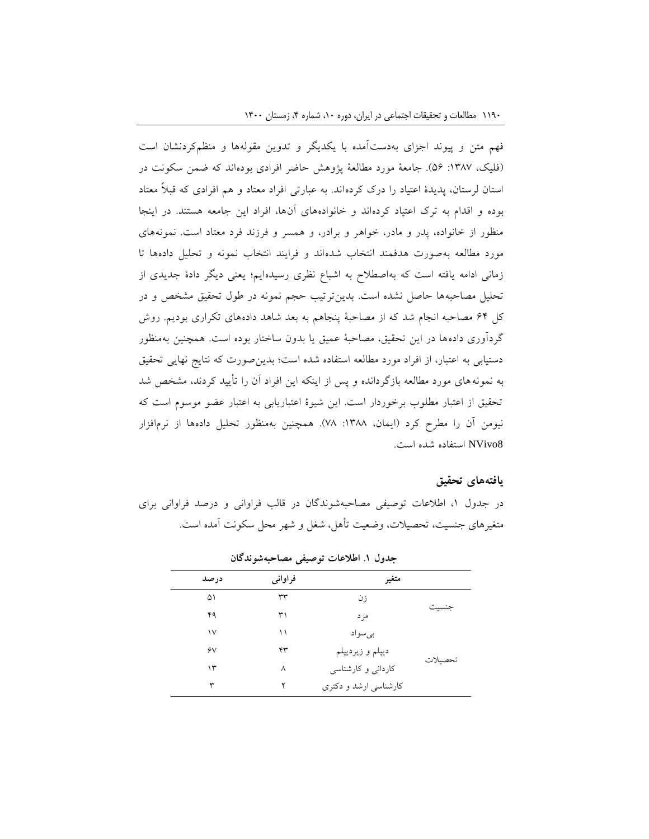فهم متن و پیوند اجزای بهدستآمده با یکدیگر و تدوین مقولهها و منظمکردنشان است )فلیک، :1387 56(. جامعۀ مورد مطالعۀ پژوهش حاضر افرادی بودهاند که ضمن سکونت در استان لرستان، پدیدۀ اعتیاد را درک کردهاند. به عبارتی افراد معتاد و هم افرادی که قبالً معتاد بوده و اقدام به ترک اعتیاد کردهاند و خانوادههای آنها، افراد این جامعه هستند. در اینجا منظور از خانواده، پدر و مادر، خواهر و برادر، و همسر و فرزند فرد معتاد است. نمونههای مورد مطالعه بهصورت هدفمند انتخاب شدهاند و فرایند انتخاب نمونه و تحلیل دادهها تا زمانی ادامه یافته است که بهاصطالح به اشباع نظری رسیدهایم؛ یعنی دیگر دادۀ جدیدی از تحلیل مصاحبهها حاصل نشده است. بدینترتیب حجم نمونه در طول تحقیق مشخص و در کل 64 مصاحبه انجام شد که از مصاحبۀ پنجاهم به بعد شاهد دادههای تکراری بودیم. روش گردآوری دادهها در این تحقیق، مصاحبۀ عمیق یا بدون ساختار بوده است. همچنین بهمنظور دستیابی به اعتبار، از افراد مورد مطالعه استفاده شده است؛ بدینصورت که نتایج نهایی تحقیق به نمونههای مورد مطالعه بازگردانده و پس از اینکه این افراد آن را تأیید کردند، مشخص شد تحقیق از اعتبار مطلوب برخوردار است. این شیوۀ اعتباریابی به اعتبار عضو موسوم است که نیومن آن را مطرح کرد (ایمان، ۱۳۸۸: ۷۸). همچنین بهمنظور تحلیل دادهها از نرمافزار 8NVivo استفاده شده است.

## **یافتههای تحقیق**

در جدول ،1 اطالعات توصیفی مصاحبهشوندگان در قالب فراوانی و درصد فراوانی برای متغیرهای جنسیت، تحصیالت، وضعیت تأهل، شغل و شهر محل سکونت آمده است.

| درصد | فراواني | متغير                 |         |
|------|---------|-----------------------|---------|
| ۵۱   | ٣٣      | زن                    |         |
| ۴۹   | ۳۱      | مر د                  | جنست    |
| ۱٧   | ۱۱      | بىسواد                |         |
| ۶V   | ۴۳      | ديپلم و زيرديپلم      |         |
| ۱۳   | ٨       | کاردانی و کارشناسی    | تحصيلات |
| ٣    | ٢       | کارشناسی ارشد و دکتری |         |

**جدول .1 اطالعات توصیفی مصاحبهشوندگان**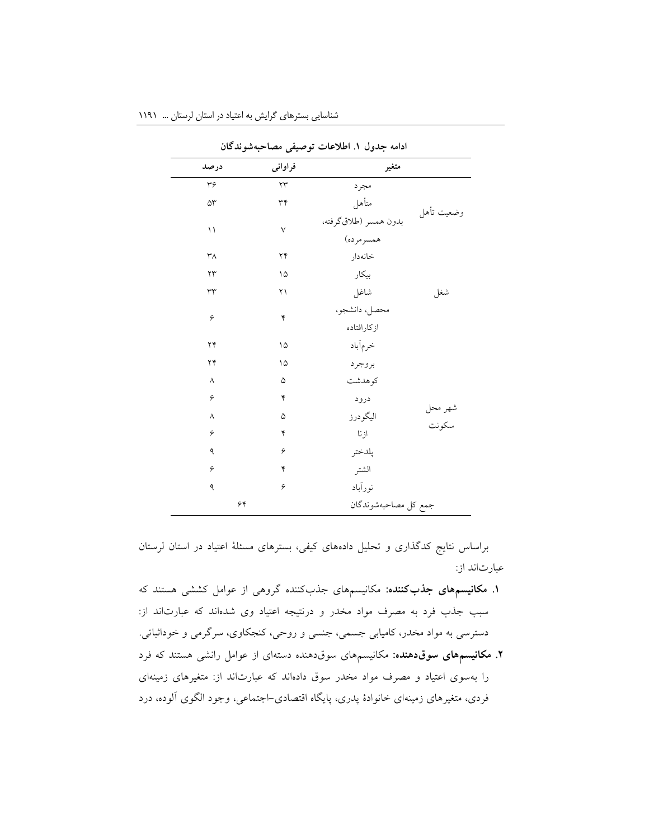| ادامه جدول ١. اطلاعات توصيفي مصاحبهشوندگان |                |                                     |                  |  |
|--------------------------------------------|----------------|-------------------------------------|------------------|--|
| درصد                                       | فراواني        | متغير                               |                  |  |
| ۳۶                                         | $\gamma\gamma$ | مجرد                                |                  |  |
| $\Delta r$                                 | ٣۴             | متأهل                               | وضعيت تأهل       |  |
| ۱۱                                         | $\vee$         | بدون همسر (طلاق گرفته،<br>همسرمرده) |                  |  |
| ٣٨                                         | ۲۴             | خانەدار                             |                  |  |
| ۲۳                                         | ۱۵             | بيكار                               |                  |  |
| ٣٣                                         | ۲۱             | شاغل                                | شغل              |  |
| ۶                                          | ۴              | محصل، دانشجو،<br>ازكارافتاده        |                  |  |
| ۲۴                                         | ۱۵             | خرمأباد                             |                  |  |
| ۲۴                                         | ۱۵             | بروجرد                              |                  |  |
| $\wedge$                                   | ۵              | كوهدشت                              | شهر محل<br>سكونت |  |
| ۶                                          | ۴              | درود                                |                  |  |
| $\wedge$                                   | ۵              | اليگودرز                            |                  |  |
| ۶                                          | ۴              | ازنا                                |                  |  |
| ٩                                          | ۶              | پلدختر                              |                  |  |
| ۶                                          | ۴              | الشتر                               |                  |  |
| ٩                                          | ۶              | نورآباد                             |                  |  |
| ۶۴                                         |                | جمع كل مصاحبهشوندگان                |                  |  |

شناسایی بسترهای گرایش به اعتیاد در استان لرستان ... 1191

براساس نتایج کدگذاری و تحلیل دادههای کیفی، بسترهای مسئلۀ اعتیاد در استان لرستان عبارتاند از:

- **.1 مکانیسمهای جذبکننده:** مکانیسمهای جذبکننده گروهی از عوامل کششی هستند که سبب جذب فرد به مصرف مواد مخدر و درنتیجه اعتیاد وی شدهاند که عبارتاند از: دسترسی به مواد مخدر، کامیابی جسمی، جنسی و روحی، کنجکاوی، سرگرمی و خوداثباتی.
- **.2 مکانیسمهای سوقدهنده:** مکانیسمهای سوقدهنده دستهای از عوامل رانشی هستند که فرد را بهسوی اعتیاد و مصرف مواد مخدر سوق دادهاند که عبارتاند از: متغیرهای زمینهای فردی، متغیرهای زمینهای خانوادۀ پدری، پایگاه اقتصادی-اجتماعی، وجود الگوی آلوده، درد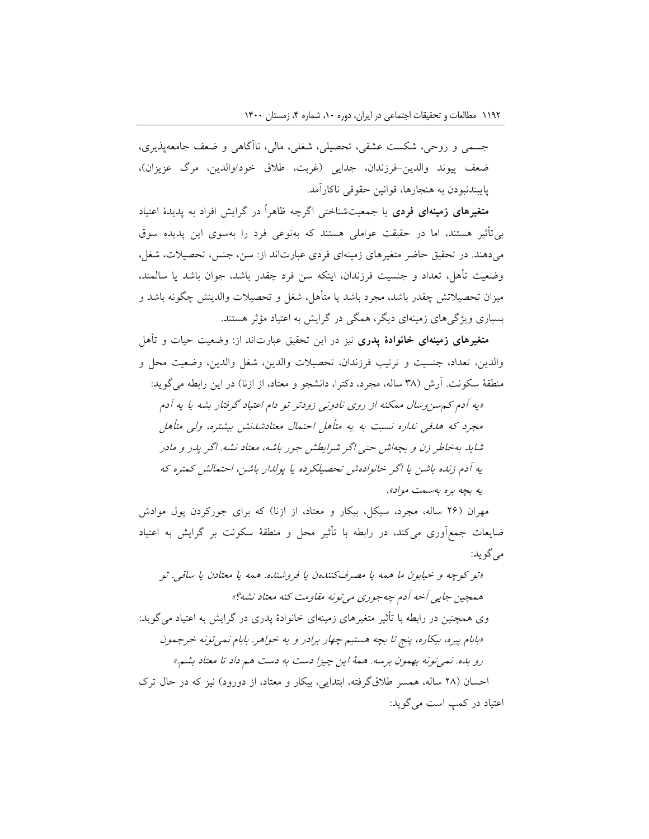جسمی و روحی، شکست عشقی، تحصیلی، شغلی، مالی، ناآگاهی و ضعف جامعهپذیری، ضعف پیوند والدین-فرزندان، جدایی (غربت، طلاق خود/والدین، مرگ عزیزان)، پایبندنبودن به هنجارها، قوانین حقوقی ناکارآمد.

**متغیرهای زمینهای فردی** یا جمعیتشناختی اگرچه ظاهراً در گرایش افراد به پدیدۀ اعتیاد بیتأثیر هستند، اما در حقیقت عواملی هستند که بهنوعی فرد را بهسوی این پدیده سوق میدهند. در تحقیق حاضر متغیرهای زمینهای فردی عبارتاند از: سن، جنس، تحصیالت، شغل، وضعیت تأهل، تعداد و جنسیت فرزندان، اینکه سن فرد چقدر باشد، جوان باشد یا سالمند، میزان تحصیالتش چقدر باشد، مجرد باشد یا متأهل، شغل و تحصیالت والدینش چگونه باشد و بسیاری ویژگیهای زمینهای دیگر، همگی در گرایش به اعتیاد مؤثر هستند.

**متغیرهای زمینهای خانوادۀ پدری** نیز در این تحقیق عبارتاند از: وضعیت حیات و تأهل والدین، تعداد، جنسیت و ترتیب فرزندان، تحصیالت والدین، شغل والدین، وضعیت محل و منطقهٔ سکونت. آرش (۳۸ ساله، مجرد، دکترا، دانشجو و معتاد، از ازنا) در این رابطه میگوید: »یه آدم کمسنوسال ممکنه از روی نادونی زودتر تو دام اعتیاد گرفتار بشه یا یه آدم مجرد که هدفی نداره نسبت به یه متأهل احتمال معتادشدنش بیشتره، ولی متأهل شاید بهخاطر زن و بچهاش حتی اگر شرایطش جور باشه، معتاد نشه. اگر پدر و مادر یه آدم زنده باشن یا اگر خانوادهش تحصیلکرده یا پولدار باشن، احتمالش کمتره که یه بچه بره بهسمت مواد«.

مهران (۲۶ ساله، مجرد، سیکل، بیکار و معتاد، از ازنا) که برای جورکردن پول موادش ضایعات جمعآوری میکند، در رابطه با تأثیر محل و منطقۀ سکونت بر گرایش به اعتیاد میگوید:

»تو کوچه و خیابون ما همه یا مصرفکنندهن یا فروشنده. همه یا معتادن یا ساقی. تو همچین جایی آخه آدم چهجوری میتونه مقاومت کنه معتاد نشه؟« وی همچنین در رابطه با تأثیر متغیرهای زمینهای خانوادۀ پدری در گرایش به اعتیاد میگوید: »بابام پیره، بیکاره، پنج تا بچه هستیم چهار برادر و یه خواهر. بابام نمیتونه خرجمون رو بده. نمیتونه بهمون برسه. همۀ این چیزا دست به دست هم داد تا معتاد بشم.« احسان )28 ساله، همسر طالقگرفته، ابتدایی، بیکار و معتاد، از دورود( نیز که در حال ترک اعتیاد در کمپ است میگوید: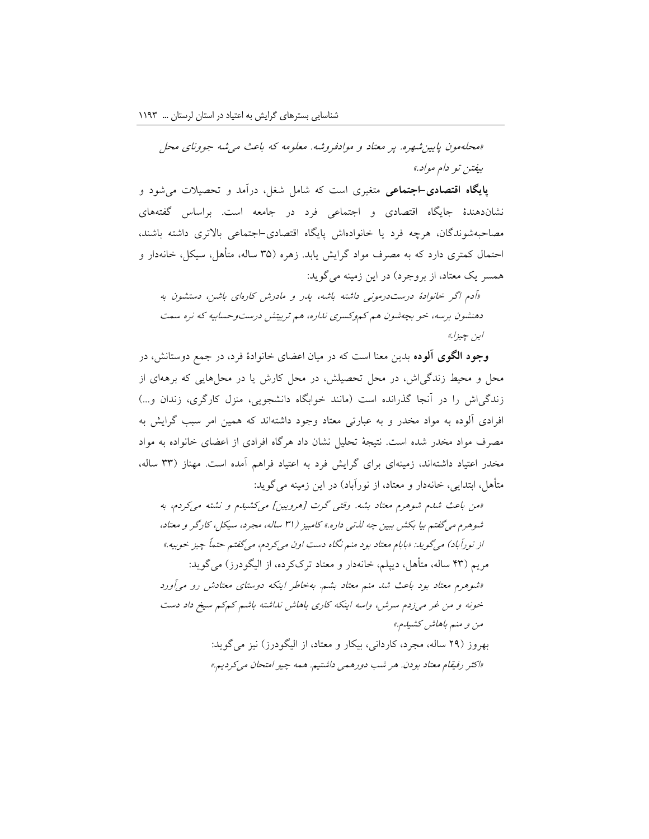»محلهمون پایینشهره. پر معتاد و موادفروشه. معلومه که باعث میشه جوونای محل بیفتن تو دام مواد.«

**پایگاه اقتصادی-اجتماعی** متغیری است که شامل شغل، درآمد و تحصیالت میشود و نشاندهندۀ جایگاه اقتصادی و اجتماعی فرد در جامعه است. براساس گفتههای مصاحبهشوندگان، هرچه فرد یا خانوادهاش پایگاه اقتصادی-اجتماعی باالتری داشته باشند، احتمال کمتری دارد که به مصرف مواد گرایش یابد. زهره )35 ساله، متأهل، سیکل، خانهدار و همسر یک معتاد، از بروجرد) در این زمینه می گوید:

»آدم اگر خانوادۀ درستدرمونی داشته باشه، پدر و مادرش کارهای باشن، دستشون به دهنشون برسه، خو بچهشون هم کموکسری نداره، هم تربیتش درستوحسابیه که نره سمت این چیزا.«

**وجود الگوی آلوده** بدین معنا است که در میان اعضای خانوادۀ فرد، در جمع دوستانش، در محل و محیط زندگیاش، در محل تحصیلش، در محل کارش یا در محلهایی که برههای از زندگی اش را در آنجا گذرانده است (مانند خوابگاه دانشجویی، منزل کارگری، زندان و...) افرادی آلوده به مواد مخدر و به عبارتی معتاد وجود داشتهاند که همین امر سبب گرایش به مصرف مواد مخدر شده است. نتیجۀ تحلیل نشان داد هرگاه افرادی از اعضای خانواده به مواد مخدر اعتیاد داشتهاند، زمینهای برای گرایش فرد به اعتیاد فراهم آمده است. مهناز )33 ساله، متأهل، ابتدایی، خانهدار و معتاد، از نورآباد) در این زمینه می گوید:

»من باعث شدم شوهرم معتاد بشه. وقتی گرت ]هرویین[ میکشیدم و نشئه میکردم، به شوهرم میگفتم بیا بکش ببین چه لذتی داره.« کامبیز )31 ساله، مجرد، سیکل، کارگر و معتاد، از نورآباد) میگوید: «بابام معتاد بود منم نگاه دست اون میکردم، میگفتم حتماً چیز خوبیه.» مریم )43 ساله، متأهل، دیپلم، خانهدار و معتاد ترککرده، از الیگودرز( میگوید: »شوهرم معتاد بود باعث شد منم معتاد بشم. بهخاطر اینکه دوستای معتادش رو میآورد خونه و من غر میزدم سرش، واسه اینکه کاری باهاش نداشته باشم کمکم سیخ داد دست من و منم باهاش کشیدم.« بهروز )29 ساله، مجرد، کاردانی، بیکار و معتاد، از الیگودرز( نیز میگوید: »اکثر رفیقام معتاد بودن. هر شب دورهمی داشتیم. همه چیو امتحان میکردیم.«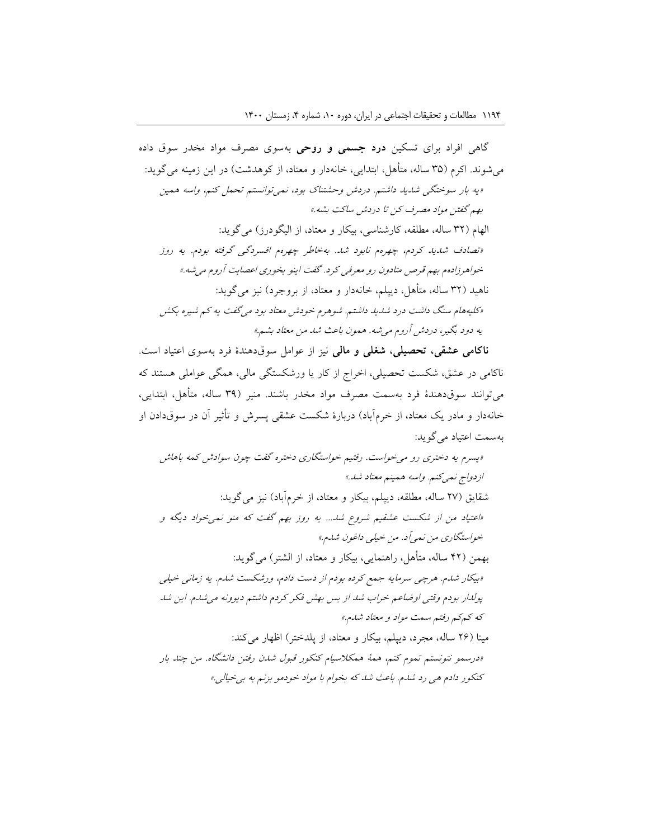گاهی افراد برای تسکین **درد جسمی و روحی** بهسوی مصرف مواد مخدر سوق داده میشوند. اکرم )35 ساله، متأهل، ابتدایی، خانهدار و معتاد، از کوهدشت( در این زمینه میگوید: »یه بار سوختگی شدید داشتم. دردش وحشتناک بود، نمیتوانستم تحمل کنم، واسه همین بهم گفتن مواد مصرف کن تا دردش ساکت بشه.« الهام )32 ساله، مطلقه، کارشناسی، بیکار و معتاد، از الیگودرز( میگوید: »تصادف شدید کردم، چهرهم نابود شد. بهخاطر چهرهم افسردگی گرفته بودم. یه روز خواهرزادهم بهم قرص متادون رو معرفی کرد. گفت اینو بخوری اعصابت آروم میشه.« ناهید )32 ساله، متأهل، دیپلم، خانهدار و معتاد، از بروجرد( نیز میگوید: »کلیههام سنگ داشت درد شدید داشتم. شوهرم خودش معتاد بود میگفت یه کم شیره بکش یه دود بگیر، دردش آروم میشه. همون باعث شد من معتاد بشم.«

**ناکامی عشقی، تحصیلی، شغلی و مالی** نیز از عوامل سوقدهندۀ فرد بهسوی اعتیاد است. ناکامی در عشق، شکست تحصیلی، اخراج از کار یا ورشکستگی مالی، همگی عواملی هستند که میتوانند سوقدهندۀ فرد بهسمت مصرف مواد مخدر باشند. منیر )39 ساله، متأهل، ابتدایی، خانهدار و مادر یک معتاد، از خرمآباد) دربارۀ شکست عشقی پسرش و تأثیر آن در سوقدادن او بهسمت اعتیاد میگوید:

»پسرم یه دختری رو میخواست. رفتیم خواستگاری دختره گفت چون سوادش کمه باهاش ازدواج نمیکنم. واسه همینم معتاد شد.« شقایق (۲۷ ساله، مطلقه، دیپلم، بیکار و معتاد، از خرمآباد) نیز می گوید: »اعتیاد من از شکست عشقیم شروع شد... یه روز بهم گفت که منو نمیخواد دیگه و خواستگاری من نمیآد. من خیلی داغون شدم.« بهمن )42 ساله، متأهل، راهنمایی، بیکار و معتاد، از الشتر( میگوید: »بیکار شدم. هرچی سرمایه جمع کرده بودم از دست دادم، ورشکست شدم. یه زمانی خیلی پولدار بودم وقتی اوضاعم خراب شد از بس بهش فکر کردم داشتم دیوونه میشدم. این شد که کمکم رفتم سمت مواد و معتاد شدم.« مینا (٢۶ ساله، مجرد، دیپلم، بیکار و معتاد، از پلدختر) اظهار میکند: »درسمو نتونستم تموم کنم، همۀ همکالسیام کنکور قبول شدن رفتن دانشگاه. من چند بار کنکور دادم هی رد شدم. باعث شد که بخوام با مواد خودمو بزنم به بیخیالی.«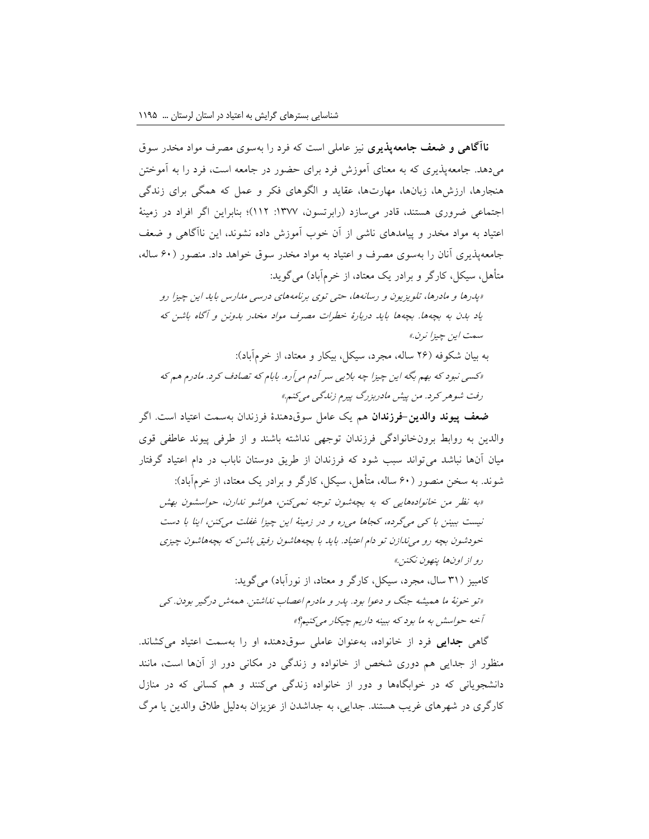**ناآگاهی و ضعف جامعهپذیری** نیز عاملی است که فرد را بهسوی مصرف مواد مخدر سوق میدهد. جامعهپذیری که به معنای آموزش فرد برای حضور در جامعه است، فرد را به آموختن هنجارها، ارزشها، زبانها، مهارتها، عقاید و الگوهای فکر و عمل که همگی برای زندگی اجتماعی ضروری هستند، قادر می سازد (رابرتسون، ۱۳۷۷: ۱۱۲)؛ بنابراین اگر افراد در زمینۀ اعتیاد به مواد مخدر و پیامدهای ناشی از آن خوب آموزش داده نشوند، این ناآگاهی و ضعف جامعهپذیری آنان را بهسوی مصرف و اعتیاد به مواد مخدر سوق خواهد داد. منصور )60 ساله، متأهل، سیکل، کارگر و برادر یک معتاد، از خرمآباد( میگوید:

»پدرها و مادرها، تلویزیون و رسانهها، حتی توی برنامههای درسی مدارس باید این چیزا رو یاد بدن به بچهها. بچهها باید دربارۀ خطرات مصرف مواد مخدر بدونن و آگاه باشن که سمت این چیزا نرن.«

به بیان شکوفه )26 ساله، مجرد، سیکل، بیکار و معتاد، از خرمآباد(: »کسی نبود که بهم بگه این چیزا چه بالیی سر آدم میآره. بابام که تصادف کرد. مادرم هم که رفت شوهر کرد. من پیش مادربزرگ پیرم زندگی میکنم.«

**ضعف پیوند والدین-فرزندان** هم یک عامل سوقدهندۀ فرزندان بهسمت اعتیاد است. اگر والدین به روابط برونخانوادگی فرزندان توجهی نداشته باشند و از طرفی پیوند عاطفی قوی میان آنها نباشد میتواند سبب شود که فرزندان از طریق دوستان ناباب در دام اعتیاد گرفتار شوند. به سخن منصور )60 ساله، متأهل، سیکل، کارگر و برادر یک معتاد، از خرمآباد(:

»به نظر من خانوادههایی که به بچهشون توجه نمیکنن، هواشو ندارن، حواسشون بهش نیست ببینن با کی میگرده، کجاها میره و در زمینۀ این چیزا غفلت میکنن، اینا با دست خودشون بچه رو میندازن تو دام اعتیاد. باید با بچههاشون رفیق باشن که بچههاشون چیزی رو از اونها پنهون نکنن.« کامبیز (۳۱ سال، مجرد، سیکل، کارگر و معتاد، از نورآباد) می گوید:

»تو خونۀ ما همیشه جنگ و دعوا بود. پدر و مادرم اعصاب نداشتن. همهش درگیر بودن. کی آخه حواسش به ما بود که ببینه داریم چیکار میکنیم؟«

گاهی **جدایی** فرد از خانواده، بهعنوان عاملی سوقدهنده او را بهسمت اعتیاد میکشاند. منظور از جدایی هم دوری شخص از خانواده و زندگی در مکانی دور از آنها است، مانند دانشجویانی که در خوابگاهها و دور از خانواده زندگی میکنند و هم کسانی که در منازل کارگری در شهرهای غریب هستند. جدایی، به جداشدن از عزیزان بهدلیل طالق والدین یا مرگ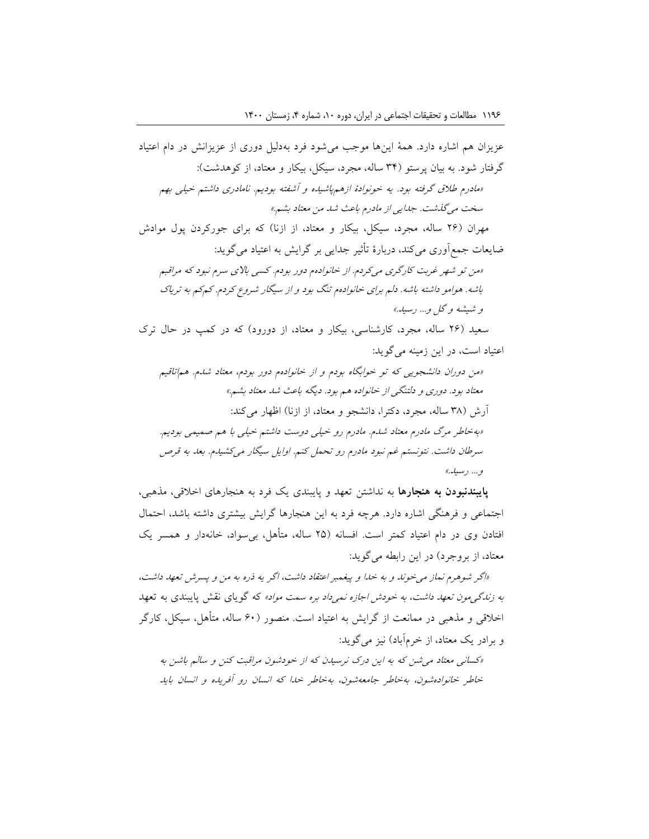عزیزان هم اشاره دارد. همۀ اینها موجب میشود فرد بهدلیل دوری از عزیزانش در دام اعتیاد گرفتار شود. به بیان پرستو (۳۴ ساله، مجرد، سیکل، بیکار و معتاد، از کوهدشت): »مادرم طالق گرفته بود. یه خونوادۀ ازهمپاشیده و آشفته بودیم. نامادری داشتم خیلی بهم سخت میگذشت. جدایی از مادرم باعث شد من معتاد بشم.« مهران (۲۶ ساله، مجرد، سیکل، بیکار و معتاد، از ازنا) که برای جورکردن پول موادش ضایعات جمعآوری میکند، دربارۀ تأثیر جدایی بر گرایش به اعتیاد میگوید: »من تو شهر غربت کارگری میکردم. از خانوادهم دور بودم. کسی باالی سرم نبود که مراقبم باشه. هوامو داشته باشه. دلم برای خانوادهم تنگ بود و از سیگار شروع کردم. کمکم به تریاک و شیشه و گل و... رسید.« سعید )26 ساله، مجرد، کارشناسی، بیکار و معتاد، از دورود( که در کمپ در حال ترک اعتیاد است، در این زمینه میگوید: »من دوران دانشجویی که تو خوابگاه بودم و از خانوادهم دور بودم، معتاد شدم. هماتاقیم معتاد بود. دوری و دلتنگی از خانواده هم بود. دیگه باعث شد معتاد بشم.« آرش (۳۸ ساله، مجرد، دکترا، دانشجو و معتاد، از ازنا) اظهار میکند: »بهخاطر مرگ مادرم معتاد شدم. مادرم رو خیلی دوست داشتم خیلی با هم صمیمی بودیم. سرطان داشت. نتونستم غم نبود مادرم رو تحمل کنم. اوایل سیگار میکشیدم. بعد به قرص و... رسید.«

**پایبندنبودن به هنجارها** به نداشتن تعهد و پایبندی یک فرد به هنجارهای اخالقی، مذهبی، اجتماعی و فرهنگی اشاره دارد. هرچه فرد به این هنجارها گرایش بیشتری داشته باشد، احتمال افتادن وی در دام اعتیاد کمتر است. افسانه )25 ساله، متأهل، بیسواد، خانهدار و همسر یک معتاد، از بروجرد) در این رابطه می گوید:

»اگر شوهرم نماز میخوند و به خدا و پیغمبر اعتقاد داشت، اگر یه ذره به من و پسرش تعهد داشت، به زن*دگی مون تعهد داشت، به خودش اجازه نمی داد بره سمت مواد»* که گویای نقش پایبندی به تعهد اخالقی و مذهبی در ممانعت از گرایش به اعتیاد است. منصور )60 ساله، متأهل، سیکل، کارگر و برادر یک معتاد، از خرمآباد) نیز می گوید:

»کسانی معتاد میشن که به این درک نرسیدن که از خودشون مراقبت کنن و سالم باشن به خاطر خانوادهشون، بهخاطر جامعهشون، بهخاطر خدا که انسان رو آفریده و انسان باید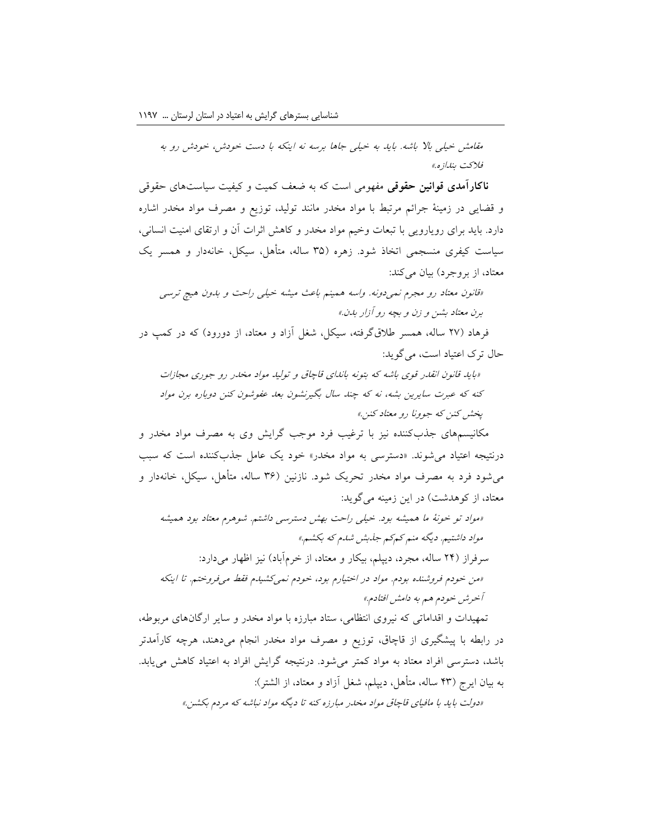مقامش خیلی باال باشه. باید به خیلی جاها برسه نه اینکه با دست خودش، خودش رو به فالکت بندازه.«

**ناکارآمدی قوانین حقوقی** مفهومی است که به ضعف کمیت و کیفیت سیاستهای حقوقی و قضایی در زمینۀ جرائم مرتبط با مواد مخدر مانند تولید، توزیع و مصرف مواد مخدر اشاره دارد. باید برای رویارویی با تبعات وخیم مواد مخدر و کاهش اثرات آن و ارتقای امنیت انسانی، سیاست کیفری منسجمی اتخاذ شود. زهره )35 ساله، متأهل، سیکل، خانهدار و همسر یک معتاد، از بروجرد) بیان میکند:

»قانون معتاد رو مجرم نمیدونه. واسه همینم باعث میشه خیلی راحت و بدون هیچ ترسی برن معتاد بشن و زن و بچه رو آزار بدن.«

فرهاد )27 ساله، همسر طالقگرفته، سیکل، شغل آزاد و معتاد، از دورود( که در کمپ در حال ترک اعتیاد است، میگوید:

»باید قانون انقدر قوی باشه که بتونه باندای قاچاق و تولید مواد مخدر رو جوری مجازات کنه که عبرت سایرین بشه، نه که چند سال بگیرنشون بعد عفوشون کنن دوباره برن مواد پخش کنن که جوونا رو معتاد کنن.«

مکانیسمهای جذبکننده نیز با ترغیب فرد موجب گرایش وی به مصرف مواد مخدر و درنتیجه اعتیاد میشوند. »دسترسی به مواد مخدر« خود یک عامل جذبکننده است که سبب میشود فرد به مصرف مواد مخدر تحریک شود. نازنین )36 ساله، متأهل، سیکل، خانهدار و معتاد، از کوهدشت) در این زمینه میگوید:

»مواد تو خونۀ ما همیشه بود. خیلی راحت بهش دسترسی داشتم. شوهرم معتاد بود همیشه مواد داشتیم. دیگه منم کمکم جذبش شدم که بکشم.« سرفراز (۲۴ ساله، مجرد، دیپلم، بیکار و معتاد، از خرمآباد) نیز اظهار میدارد: »من خودم فروشنده بودم. مواد در اختیارم بود، خودم نمیکشیدم فقط میفروختم. تا اینکه

آخرش خودم هم به دامش افتادم.«

تمهیدات و اقداماتی که نیروی انتظامی، ستاد مبارزه با مواد مخدر و سایر ارگانهای مربوطه، در رابطه با پیشگیری از قاچاق، توزیع و مصرف مواد مخدر انجام میدهند، هرچه کارآمدتر باشد، دسترسی افراد معتاد به مواد کمتر میشود. درنتیجه گرایش افراد به اعتیاد کاهش مییابد. به بیان ایرج (۴۳ ساله، متأهل، دیپلم، شغل آزاد و معتاد، از الشتر): »دولت باید با مافیای قاچاق مواد مخدر مبارزه کنه تا دیگه مواد نباشه که مردم بکشن.«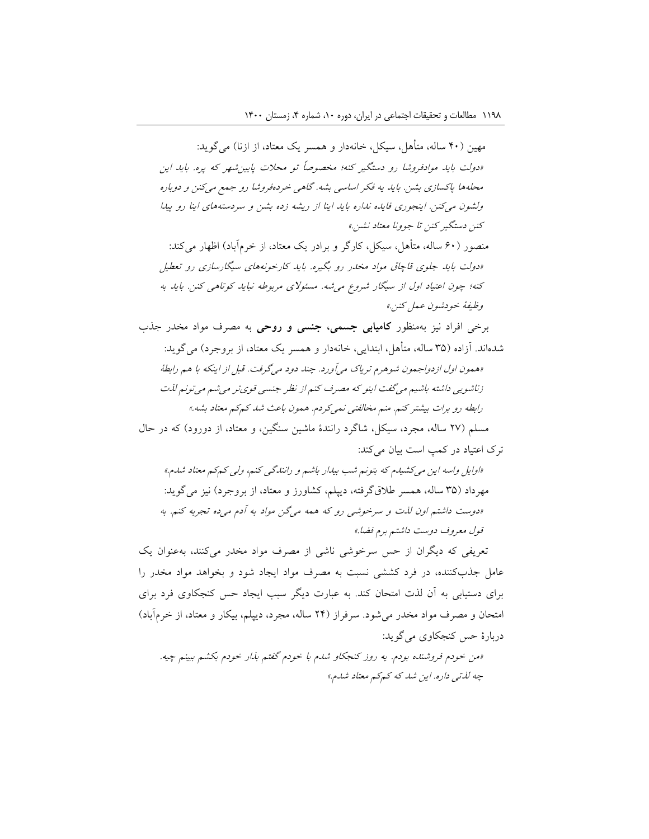مهین (۴۰ ساله، متأهل، سیکل، خانهدار و همسر یک معتاد، از ازنا) می گوید: »دولت باید موادفروشا رو دستگیر کنه؛ مخصوصاً تو محالت پایینشهر که پره. باید این محلهها پاکسازی بشن. باید یه فکر اساسی بشه. گاهی خردهفروشا رو جمع میکنن و دوباره ولشون میکنن. اینجوری فایده نداره باید اینا از ریشه زده بشن و سردستههای اینا رو پیدا کنن دستگیر کنن تا جوونا معتاد نشن.« منصور (۶۰ ساله، متأهل، سیکل، کارگر و برادر یک معتاد، از خرمآباد) اظهار می کند: »دولت باید جلوی قاچاق مواد مخدر رو بگیره. باید کارخونههای سیگارسازی رو تعطیل کنه؛ چون اعتیاد اول از سیگار شروع میشه. مسئوالی مربوطه نباید کوتاهی کنن. باید به وظیفۀ خودشون عمل کنن.« برخی افراد نیز بهمنظور **کامیابی جسمی، جنسی و روحی** به مصرف مواد مخدر جذب شدهاند. آزاده )35 ساله، متأهل، ابتدایی، خانهدار و همسر یک معتاد، از بروجرد( میگوید: »همون اول ازدواجمون شوهرم تریاک میآورد. چند دود میگرفت. قبل از اینکه با هم رابطۀ زناشویی داشته باشیم میگفت اینو که مصرف کنم از نظر جنسی قویتر میشم میتونم لذت رابطه رو برات بیشتر کنم. منم مخالفتی نمیکردم. همون باعث شد کمکم معتاد بشه.« مسلم )27 ساله، مجرد، سیکل، شاگرد رانندۀ ماشین سنگین، و معتاد، از دورود( که در حال ترک اعتیاد در کمب است بیان میکند: »اوایل واسه این میکشیدم که بتونم شب بیدار باشم و رانندگی کنم، ولی کمکم معتاد شدم.« مهرداد )35 ساله، همسر طالقگرفته، دیپلم، کشاورز و معتاد، از بروجرد( نیز میگوید: »دوست داشتم اون لذت و سرخوشی رو که همه میگن مواد به آدم میده تجربه کنم. به قول معروف دوست داشتم برم فضا.« تعریفی که دیگران از حس سرخوشی ناشی از مصرف مواد مخدر میکنند، بهعنوان یک عامل جذبکننده، در فرد کششی نسبت به مصرف مواد ایجاد شود و بخواهد مواد مخدر را برای دستیابی به آن لذت امتحان کند. به عبارت دیگر سبب ایجاد حس کنجکاوی فرد برای امتحان و مصرف مواد مخدر میشود. سرفراز )24 ساله، مجرد، دیپلم، بیکار و معتاد، از خرمآباد( دربارۀ حس کنجکاوی میگوید:

»من خودم فروشنده بودم. یه روز کنجکاو شدم با خودم گفتم بذار خودم بکشم ببینم چیه. چه لذتی داره. این شد که کمکم معتاد شدم.«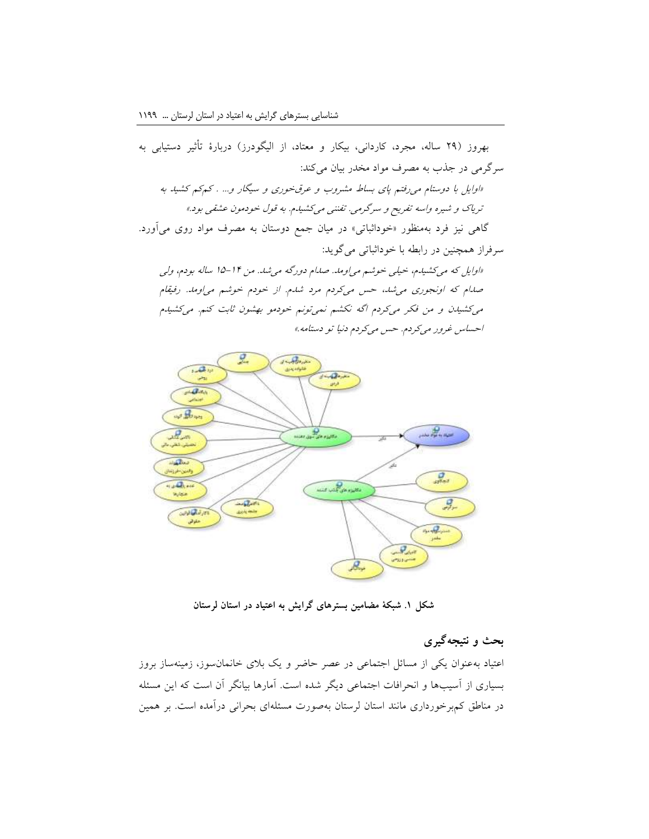



**شکل .1 شبکۀ مضامین بسترهای گرایش به اعتیاد در استان لرستان**

## **بحث و نتیجهگیری**

اعتیاد بهعنوان یکی از مسائل اجتماعی در عصر حاضر و یک بالی خانمانسوز، زمینهساز بروز بسیاری از آسیبها و انحرافات اجتماعی دیگر شده است. آمارها بیانگر آن است که این مسئله در مناطق کمبرخورداری مانند استان لرستان بهصورت مسئلهای بحرانی درآمده است. بر همین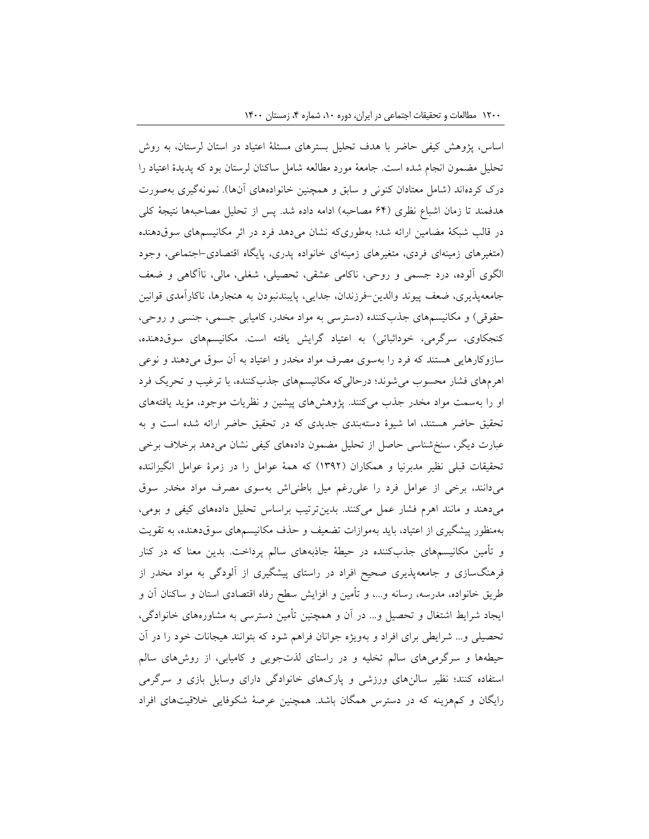اساس، پژوهش کیفی حاضر با هدف تحلیل بسترهای مسئلۀ اعتیاد در استان لرستان، به روش تحلیل مضمون انجام شده است. جامعۀ مورد مطالعه شامل ساکنان لرستان بود که پدیدۀ اعتیاد را درک کردهاند (شامل معتادان کنونی و سابق و همچنین خانوادههای آنها). نمونهگیری بهصورت هدفمند تا زمان اشباع نظری (۶۴ مصاحبه) ادامه داده شد. پس از تحلیل مصاحبهها نتیجۀ کلی در قالب شبکۀ مضامین ارائه شد؛ بهطوریکه نشان میدهد فرد در اثر مکانیسمهای سوقدهنده )متغیرهای زمینهای فردی، متغیرهای زمینهای خانواده پدری، پایگاه اقتصادی-اجتماعی، وجود الگوی آلوده، درد جسمی و روحی، ناکامی عشقی، تحصیلی، شغلی، مالی، ناآگاهی و ضعف جامعهپذیری، ضعف پیوند والدین-فرزندان، جدایی، پایبندنبودن به هنجارها، ناکارآمدی قوانین حقوقی) و مکانیسمهای جذبکننده (دسترسی به مواد مخدر، کامیابی جسمی، جنسی و روحی، کنجکاوی، سرگرمی، خوداثباتی) به اعتیاد گرایش یافته است. مکانیسمهای سوقدهنده، سازوکارهایی هستند که فرد را بهسوی مصرف مواد مخدر و اعتیاد به آن سوق میدهند و نوعی اهرمهای فشار محسوب میشوند؛ درحالیکه مکانیسمهای جذبکننده، با ترغیب و تحریک فرد او را بهسمت مواد مخدر جذب میکنند. پژوهشهای پیشین و نظریات موجود، مؤید یافتههای تحقیق حاضر هستند، اما شیوۀ دستهبندی جدیدی که در تحقیق حاضر ارائه شده است و به عبارت دیگر، سنخشناسی حاصل از تحلیل مضمون دادههای کیفی نشان میدهد برخالف برخی تحقیقات قبلی نظیر مدبرنیا و همکاران )1392( که همۀ عوامل را در زمرۀ عوامل انگیزاننده میدانند، برخی از عوامل فرد را علیرغم میل باطنیاش بهسوی مصرف مواد مخدر سوق میدهند و مانند اهرم فشار عمل میکنند. بدینترتیب براساس تحلیل دادههای کیفی و بومی، بهمنظور پیشگیری از اعتیاد، باید بهموازات تضعیف و حذف مکانیسمهای سوقدهنده، به تقویت و تأمین مکانیسمهای جذبکننده در حیطۀ جاذبههای سالم پرداخت. بدین معنا که در کنار فرهنگسازی و جامعهپذیری صحیح افراد در راستای پیشگیری از آلودگی به مواد مخدر از طریق خانواده، مدرسه، رسانه و،... و تأمین و افزایش سطح رفاه اقتصادی استان و ساکنان آن و ایجاد شرایط اشتغال و تحصیل و... در آن و همچنین تأمین دسترسی به مشاورههای خانوادگی، تحصیلی و... شرایطی برای افراد و بهویژه جوانان فراهم شود که بتوانند هیجانات خود را در آن حیطهها و سرگرمیهای سالم تخلیه و در راستای لذتجویی و کامیابی، از روشهای سالم استفاده کنند؛ نظیر سالنهای ورزشی و پارکهای خانوادگی دارای وسایل بازی و سرگرمی رایگان و کمهزینه که در دسترس همگان باشد. همچنین عرصۀ شکوفایی خالقیتهای افراد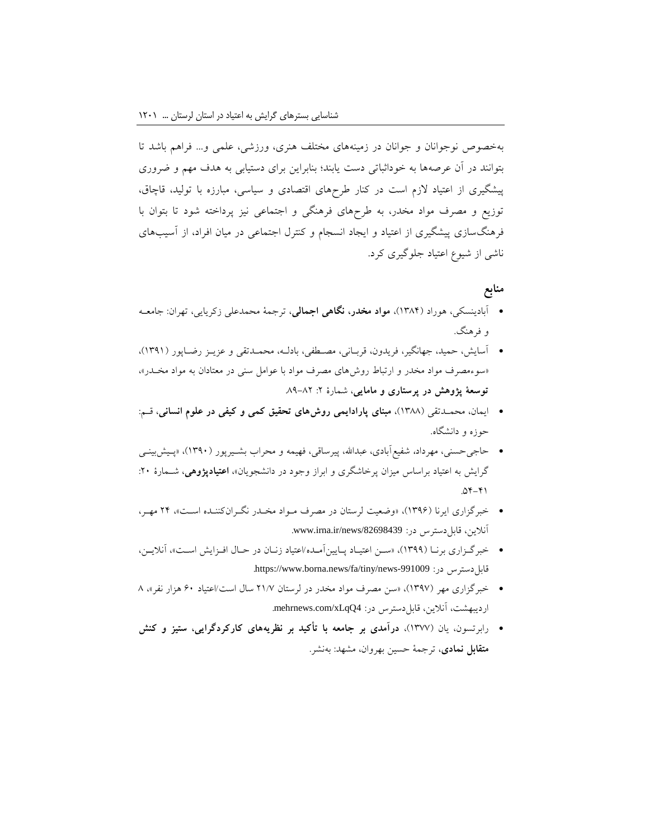بهخصوص نوجوانان و جوانان در زمینههای مختلف هنری، ورزشی، علمی و... فراهم باشد تا بتوانند در آن عرصهها به خوداثباتی دست یابند؛ بنابراین برای دستیابی به هدف مهم و ضروری پیشگیری از اعتیاد الزم است در کنار طرحهای اقتصادی و سیاسی، مبارزه با تولید، قاچاق، توزیع و مصرف مواد مخدر، به طرحهای فرهنگی و اجتماعی نیز پرداخته شود تا بتوان با فرهنگسازی پیشگیری از اعتیاد و ایجاد انسجام و کنترل اجتماعی در میان افراد، از آسیبهای ناشی از شیوع اعتیاد جلوگیری کرد.

### **منابع**

- آبادینسکی، هوراد )1384(، **مواد مخدر، نگاهی اجمالی**، ترجمۀ محمدعلی زکریایی، تهران: جامعـه و فرهنگ.
- آسایش، حمید، جهانگیر، فریدون، قربـانی، مصـطفی، بادلـه، محمـدتقی و عزیـز رضـاپور ) 1391(، »سوءمصرف مواد مخدر و ارتباط روشهای مصرف مواد با عوامل سنی در معتادان به مواد مخـدر «، **توسعۀ پژوهش در پرستاری و مامایی**، شمارۀ :2 .89-82
- ایمان، محمـدتقی ) 1388(، **مبنای پارادایمی روشهای تحقیق کمی و کیفی در علوم انسانی**، قـم: حوزه و دانشگاه.
- حاجیحسنی، مهرداد، شفیعآبادی، عبداهلل، پیرساقی، فهیمه و محراب بشـیرپور ) 1390(، »پـیش بینـی گرایش به اعتیاد براساس میزان پرخاشگری و ابراز وجود در دانشجویان«، **اعتیادپژوهی**، شـمارۀ :20  $.04 - 41$
- خبرگزاری ایرنا )1396(، »وضعیت لرستان در مصرف مـواد مخـدر نگـران کننـده اسـت «، 24 مهـر، آنلاین، قابل دسترس در: www.irna.ir/news/82698439.
- خبرگـزاری برنـا (۱۳۹۹)، «سـن اعتیـاد پـایین آمـده/اعتیاد زنـان در حـال افـزایش اسـت»، آنلایــن، .https://www.borna.news/fa/tiny/news-991009 :در قابلدسترس
- خبرگزاری مهر )1397(، »سن مصرف مواد مخدر در لرستان 21/7 سال است/اعتیاد 60 هزار نفر«، 8 اردیبهشت، آنلاین، قابل دسترس در: mehrnews.com/xLqQ4.
- رابرتسون، یان )1377(، **درآمدی بر جامعه با تأکید بر نظریههای کارکردگرایی، ستیز و کنش متقابل نمادی**، ترجمۀ حسین بهروان، مشهد: بهنشر.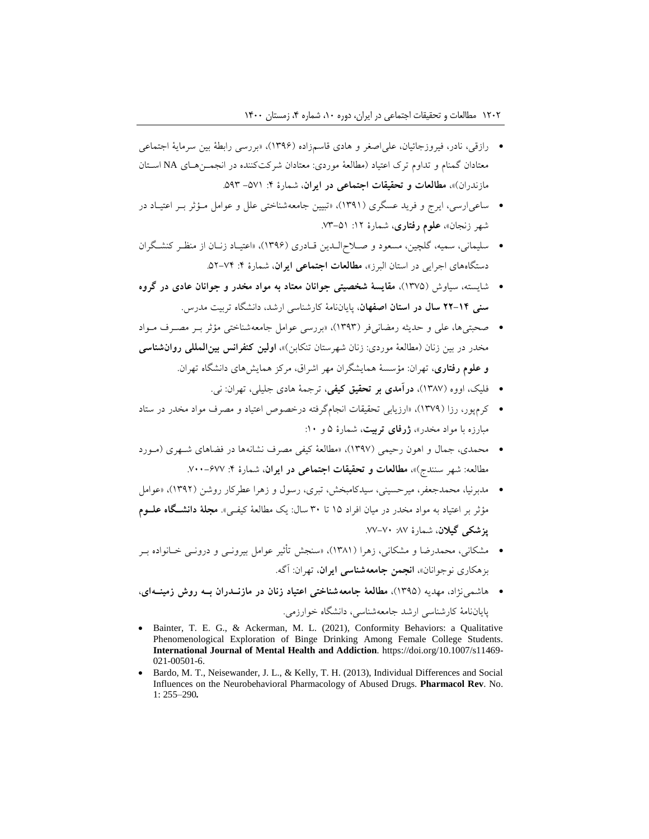- رازقی، نادر، فیروزجائیان، علیاصغر و هادی قاسمزاده )1396(، »بررسی رابطۀ بین سرمایۀ اجتماعی معتادان گمنام و تداوم ترک اعتیاد )مطالعۀ موردی: معتادان شرکتکننده در انجمـن هـای NA اسـتان مازندران)»**، مطالعات و تحقیقات اجتماعی در ایران**، شمارۀ ۴: ۵۷۱– ۵۹۳.
- ساعیارسی، ایرج و فرید عسگری )1391(، »تبیین جامعهشناختی علل و عوامل مـؤثر بـر اعتیـاد در شهر زنجان«، **علوم رفتاری**، شمارۀ :12 .73-51
- سلیمانی، سمیه، گلچین، مسعود و صـالح الـدین قـادری ) 1396(، »اعتیـاد زنـان از منظـر کنشـگران دستگاههای اجرایی در استان البرز«، **مطالعات اجتماعی ایران**، شمارۀ :4 .52-74
- شایسته، سیاوش )1375(، **مقایسۀ شخصیتی جوانان معتاد به مواد مخدر و جوانان عادی در گروه سنی 22-14 سال در استان اصفهان**، پایاننامۀ کارشناسی ارشد، دانشگاه تربیت مدرس.
- صحبتیها، علی و حدیثه رمضانیفر )1393(، »بررسی عوامل جامعهشناختی مؤثر بـر مصـرف مـواد مخدر در بین زنان (مطالعۀ موردی: زنان شهرستان تنکابن)»، **اولین کنفرانس بین|لمللی روان شناسی و علوم رفتاری**، تهران: مؤسسۀ همایشگران مهر اشراق، مرکز همایشهای دانشگاه تهران.
	- فلیک، اووه )1387(، **درآمدی بر تحقیق کیفی**، ترجمۀ هادی جلیلی، تهران: نی.
- کرمپور، رزا )1379(، »ارزیابی تحقیقات انجامگرفته درخصوص اعتیاد و مصرف مواد مخدر در ستاد مبارزه با مواد مخدر«، **ژرفای تربیت**، شمارۀ 5 و :10
- محمدی، جمال و اهون رحیمی )1397(، »مطالعۀ کیفی مصرف نشانهها در فضاهای شـهری )مـورد مطالعه: شهر سنندج)»**، مطالعات و تحقیقات اجتماعی در ایران**، شمارۀ ۴: ۷۷۷–۷۰۰.
- مدبرنیا، محمدجعفر، میرحسینی، سیدکامبخش، تبری، رسول و زهرا عطرکار روشن )1392(، »عوامل مؤثر بر اعتیاد به مواد مخدر در میان افراد 15 تا 30 سال: یک مطالعۀ کیفـی «. **مجلۀ دانشگگاه علگوم پزشکی گیلان**، شمارۀ ۸۷ ۷۰–۷۷.
- مشکانی، محمدرضا و مشکانی، زهرا )1381(، »سنجش تأثیر عوامل بیرونـی و درونـی خـانواده بـر بزهکاری نوجوانان«، **انجمن جامعهشناسی ایران**، تهران: آگه.
- هاشمینژاد، مهدیه )1395(، **مطالعۀ جامعهشناختی اعتیاد زنان در مازنگدران بگه روش زمینگه ای**،

پایاننامۀ کارشناسی ارشد جامعهشناسی، دانشگاه خوارزمی.

- Bainter, T. E. G., & Ackerman, M. L. (2021), Conformity Behaviors: a Qualitative Phenomenological Exploration of Binge Drinking Among Female College Students. **International Journal of Mental Health and Addiction***.* https://doi.org/10.1007/s11469- 021-00501-6.
- Bardo, M. T., Neisewander, J. L., & Kelly, T. H. (2013), Individual Differences and Social Influences on the Neurobehavioral Pharmacology of Abused Drugs. **Pharmacol Rev**. No. 1: 255–290*.*